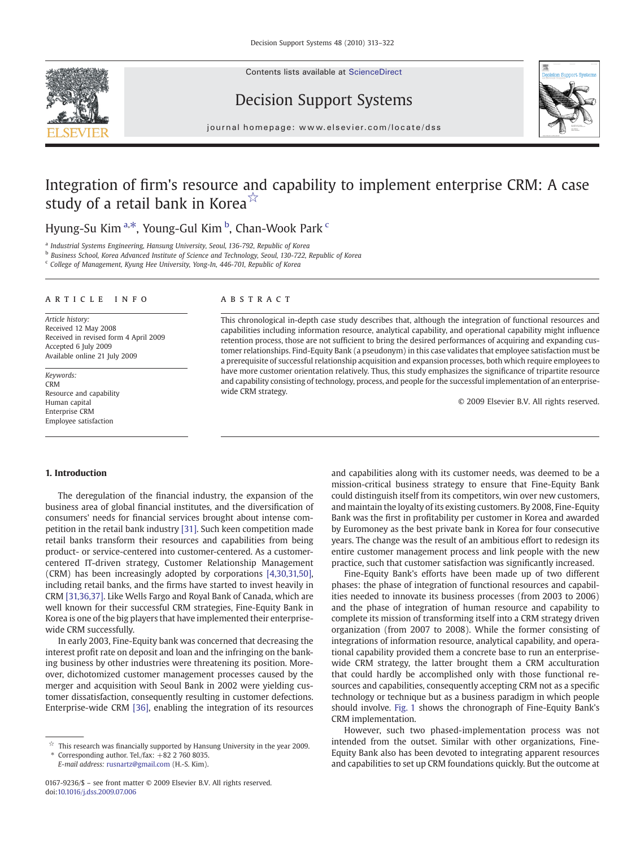Contents lists available at [ScienceDirect](http://www.sciencedirect.com/science/journal/01679236)







journal homepage: www.elsevier.com/locate/dss

## Integration of firm's resource and capability to implement enterprise CRM: A case study of a retail bank in Korea $\sqrt[3]{x}$

### Hyung-Su Kim <sup>a,\*</sup>, Young-Gul Kim <sup>b</sup>, Chan-Wook Park <sup>c</sup>

<sup>a</sup> Industrial Systems Engineering, Hansung University, Seoul, 136-792, Republic of Korea

<sup>b</sup> Business School, Korea Advanced Institute of Science and Technology, Seoul, 130-722, Republic of Korea

<sup>c</sup> College of Management, Kyung Hee University, Yong-In, 446-701, Republic of Korea

#### article info abstract

Article history: Received 12 May 2008 Received in revised form 4 April 2009 Accepted 6 July 2009 Available online 21 July 2009

Keywords: CRM Resource and capability Human capital Enterprise CRM Employee satisfaction

This chronological in-depth case study describes that, although the integration of functional resources and capabilities including information resource, analytical capability, and operational capability might influence retention process, those are not sufficient to bring the desired performances of acquiring and expanding customer relationships. Find-Equity Bank (a pseudonym) in this case validates that employee satisfaction must be a prerequisite of successful relationship acquisition and expansion processes, both which require employees to have more customer orientation relatively. Thus, this study emphasizes the significance of tripartite resource and capability consisting of technology, process, and people for the successful implementation of an enterprisewide CRM strategy.

© 2009 Elsevier B.V. All rights reserved.

#### 1. Introduction

The deregulation of the financial industry, the expansion of the business area of global financial institutes, and the diversification of consumers' needs for financial services brought about intense competition in the retail bank industry [\[31\]](#page--1-0). Such keen competition made retail banks transform their resources and capabilities from being product- or service-centered into customer-centered. As a customercentered IT-driven strategy, Customer Relationship Management (CRM) has been increasingly adopted by corporations [\[4,30,31,50\],](#page--1-0) including retail banks, and the firms have started to invest heavily in CRM [\[31,36,37\].](#page--1-0) Like Wells Fargo and Royal Bank of Canada, which are well known for their successful CRM strategies, Fine-Equity Bank in Korea is one of the big players that have implemented their enterprisewide CRM successfully.

In early 2003, Fine-Equity bank was concerned that decreasing the interest profit rate on deposit and loan and the infringing on the banking business by other industries were threatening its position. Moreover, dichotomized customer management processes caused by the merger and acquisition with Seoul Bank in 2002 were yielding customer dissatisfaction, consequently resulting in customer defections. Enterprise-wide CRM [\[36\]](#page--1-0), enabling the integration of its resources

Corresponding author. Tel./fax:  $+82$  2 760 8035. E-mail address: [rusnartz@gmail.com](mailto:rusnartz@gmail.com) (H.-S. Kim).

and capabilities along with its customer needs, was deemed to be a mission-critical business strategy to ensure that Fine-Equity Bank could distinguish itself from its competitors, win over new customers, and maintain the loyalty of its existing customers. By 2008, Fine-Equity Bank was the first in profitability per customer in Korea and awarded by Euromoney as the best private bank in Korea for four consecutive years. The change was the result of an ambitious effort to redesign its entire customer management process and link people with the new practice, such that customer satisfaction was significantly increased.

Fine-Equity Bank's efforts have been made up of two different phases: the phase of integration of functional resources and capabilities needed to innovate its business processes (from 2003 to 2006) and the phase of integration of human resource and capability to complete its mission of transforming itself into a CRM strategy driven organization (from 2007 to 2008). While the former consisting of integrations of information resource, analytical capability, and operational capability provided them a concrete base to run an enterprisewide CRM strategy, the latter brought them a CRM acculturation that could hardly be accomplished only with those functional resources and capabilities, consequently accepting CRM not as a specific technology or technique but as a business paradigm in which people should involve. [Fig. 1](#page-1-0) shows the chronograph of Fine-Equity Bank's CRM implementation.

However, such two phased-implementation process was not intended from the outset. Similar with other organizations, Fine-Equity Bank also has been devoted to integrating apparent resources and capabilities to set up CRM foundations quickly. But the outcome at

 $\overrightarrow{\mathbf{x}}$  This research was financially supported by Hansung University in the year 2009.

<sup>0167-9236/\$</sup> – see front matter © 2009 Elsevier B.V. All rights reserved. doi:[10.1016/j.dss.2009.07.006](http://dx.doi.org/10.1016/j.dss.2009.07.006)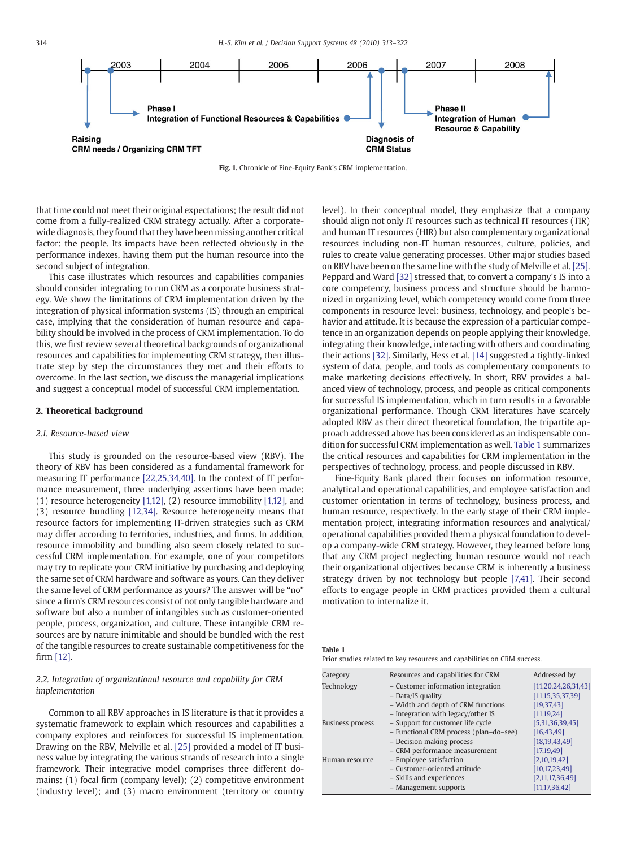<span id="page-1-0"></span>

Fig. 1. Chronicle of Fine-Equity Bank's CRM implementation.

that time could not meet their original expectations; the result did not come from a fully-realized CRM strategy actually. After a corporatewide diagnosis, they found that they have been missing another critical factor: the people. Its impacts have been reflected obviously in the performance indexes, having them put the human resource into the second subject of integration.

This case illustrates which resources and capabilities companies should consider integrating to run CRM as a corporate business strategy. We show the limitations of CRM implementation driven by the integration of physical information systems (IS) through an empirical case, implying that the consideration of human resource and capability should be involved in the process of CRM implementation. To do this, we first review several theoretical backgrounds of organizational resources and capabilities for implementing CRM strategy, then illustrate step by step the circumstances they met and their efforts to overcome. In the last section, we discuss the managerial implications and suggest a conceptual model of successful CRM implementation.

#### 2. Theoretical background

#### 2.1. Resource-based view

This study is grounded on the resource-based view (RBV). The theory of RBV has been considered as a fundamental framework for measuring IT performance [\[22,25,34,40\]](#page--1-0). In the context of IT performance measurement, three underlying assertions have been made: (1) resource heterogeneity [\[1,12\]](#page--1-0), (2) resource immobility [\[1,12\],](#page--1-0) and (3) resource bundling [\[12,34\].](#page--1-0) Resource heterogeneity means that resource factors for implementing IT-driven strategies such as CRM may differ according to territories, industries, and firms. In addition, resource immobility and bundling also seem closely related to successful CRM implementation. For example, one of your competitors may try to replicate your CRM initiative by purchasing and deploying the same set of CRM hardware and software as yours. Can they deliver the same level of CRM performance as yours? The answer will be "no" since a firm's CRM resources consist of not only tangible hardware and software but also a number of intangibles such as customer-oriented people, process, organization, and culture. These intangible CRM resources are by nature inimitable and should be bundled with the rest of the tangible resources to create sustainable competitiveness for the firm [\[12\].](#page--1-0)

### 2.2. Integration of organizational resource and capability for CRM implementation

Common to all RBV approaches in IS literature is that it provides a systematic framework to explain which resources and capabilities a company explores and reinforces for successful IS implementation. Drawing on the RBV, Melville et al. [\[25\]](#page--1-0) provided a model of IT business value by integrating the various strands of research into a single framework. Their integrative model comprises three different domains: (1) focal firm (company level); (2) competitive environment (industry level); and (3) macro environment (territory or country level). In their conceptual model, they emphasize that a company should align not only IT resources such as technical IT resources (TIR) and human IT resources (HIR) but also complementary organizational resources including non-IT human resources, culture, policies, and rules to create value generating processes. Other major studies based on RBV have been on the same line with the study of Melville et al. [\[25\].](#page--1-0) Peppard and Ward [\[32\]](#page--1-0) stressed that, to convert a company's IS into a core competency, business process and structure should be harmonized in organizing level, which competency would come from three components in resource level: business, technology, and people's behavior and attitude. It is because the expression of a particular competence in an organization depends on people applying their knowledge, integrating their knowledge, interacting with others and coordinating their actions [\[32\].](#page--1-0) Similarly, Hess et al. [\[14\]](#page--1-0) suggested a tightly-linked system of data, people, and tools as complementary components to make marketing decisions effectively. In short, RBV provides a balanced view of technology, process, and people as critical components for successful IS implementation, which in turn results in a favorable organizational performance. Though CRM literatures have scarcely adopted RBV as their direct theoretical foundation, the tripartite approach addressed above has been considered as an indispensable condition for successful CRM implementation as well. Table 1 summarizes the critical resources and capabilities for CRM implementation in the perspectives of technology, process, and people discussed in RBV.

Fine-Equity Bank placed their focuses on information resource, analytical and operational capabilities, and employee satisfaction and customer orientation in terms of technology, business process, and human resource, respectively. In the early stage of their CRM implementation project, integrating information resources and analytical/ operational capabilities provided them a physical foundation to develop a company-wide CRM strategy. However, they learned before long that any CRM project neglecting human resource would not reach their organizational objectives because CRM is inherently a business strategy driven by not technology but people [\[7,41\]](#page--1-0). Their second efforts to engage people in CRM practices provided them a cultural motivation to internalize it.

Table 1 Prior studies related to key resources and capabilities on CRM success.

| Category                | Resources and capabilities for CRM     | Addressed by             |
|-------------------------|----------------------------------------|--------------------------|
| Technology              | - Customer information integration     | [11, 20, 24, 26, 31, 43] |
|                         | - Data/IS quality                      | [11, 15, 35, 37, 39]     |
|                         | - Width and depth of CRM functions     | [19, 37, 43]             |
|                         | - Integration with legacy/other IS     | [11, 19, 24]             |
| <b>Business process</b> | - Support for customer life cycle      | [5,31,36,39,45]          |
|                         | - Functional CRM process (plan-do-see) | [16, 43, 49]             |
|                         | - Decision making process              | [18, 19, 43, 49]         |
|                         | - CRM performance measurement          | [17, 19, 49]             |
| Human resource          | - Employee satisfaction                | [2,10,19,42]             |
|                         | - Customer-oriented attitude           | [10, 17, 23, 49]         |
|                         | - Skills and experiences               | [2,11,17,36,49]          |
|                         | - Management supports                  | [11, 17, 36, 42]         |